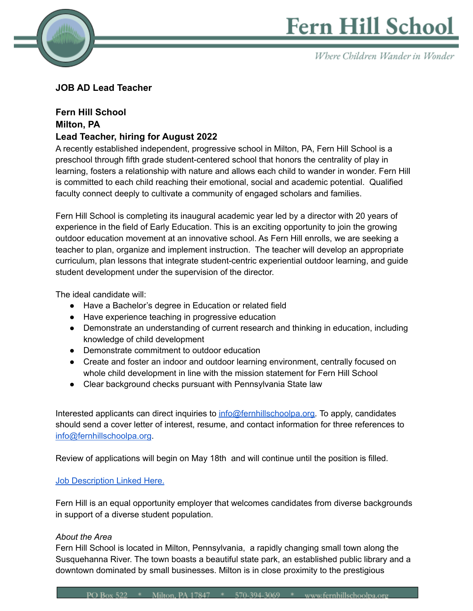

# **Fern Hill School**

Where Children Wander in Wonder

### **JOB AD Lead Teacher**

#### **Fern Hill School Milton, PA Lead Teacher, hiring for August 2022**

A recently established independent, progressive school in Milton, PA, Fern Hill School is a preschool through fifth grade student-centered school that honors the centrality of play in learning, fosters a relationship with nature and allows each child to wander in wonder. Fern Hill is committed to each child reaching their emotional, social and academic potential. Qualified faculty connect deeply to cultivate a community of engaged scholars and families.

Fern Hill School is completing its inaugural academic year led by a director with 20 years of experience in the field of Early Education. This is an exciting opportunity to join the growing outdoor education movement at an innovative school. As Fern Hill enrolls, we are seeking a teacher to plan, organize and implement instruction. The teacher will develop an appropriate curriculum, plan lessons that integrate student-centric experiential outdoor learning, and guide student development under the supervision of the director.

The ideal candidate will:

- Have a Bachelor's degree in Education or related field
- Have experience teaching in progressive education
- Demonstrate an understanding of current research and thinking in education, including knowledge of child development
- Demonstrate commitment to outdoor education
- Create and foster an indoor and outdoor learning environment, centrally focused on whole child development in line with the mission statement for Fern Hill School
- Clear background checks pursuant with Pennsylvania State law

Interested applicants can direct inquiries to [info@fernhillschoolpa.org.](mailto:info@fernhillschoolpa.org) To apply, candidates should send a cover letter of interest, resume, and contact information for three references to [info@fernhillschoolpa.org](mailto:info@fernhillschoolpa.org).

Review of applications will begin on May 18th and will continue until the position is filled.

#### Job [Description](https://docs.google.com/document/d/1bN9IhP-KdXHZLpnif5H3JhUdEjUTvZiW/edit?usp=sharing&ouid=105562630959666037352&rtpof=true&sd=true) Linked Here.

Fern Hill is an equal opportunity employer that welcomes candidates from diverse backgrounds in support of a diverse student population.

#### *About the Area*

Fern Hill School is located in Milton, Pennsylvania, a rapidly changing small town along the Susquehanna River. The town boasts a beautiful state park, an established public library and a downtown dominated by small businesses. Milton is in close proximity to the prestigious